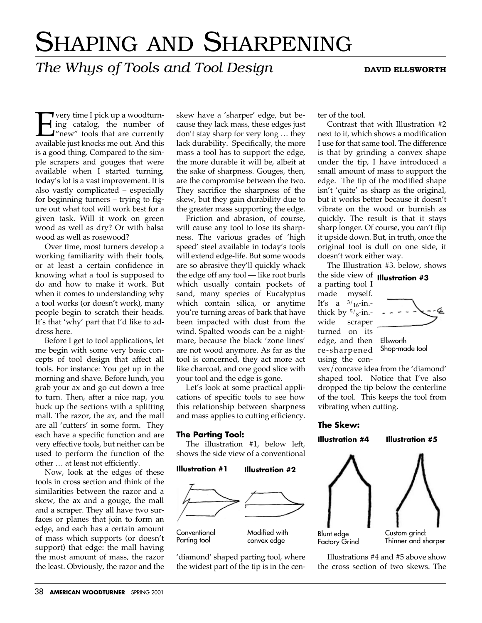# SHAPING AND SHARPENING

## *The Whys of Tools and Tool Design* DAVID ELLSWORTH

**Every time I pick up a woodturn-**<br>ing catalog, the number of<br>"new" tools that are currently<br>available just knocks me out. And this ing catalog, the number of "new" tools that are currently available just knocks me out. And this is a good thing. Compared to the simple scrapers and gouges that were available when I started turning, today's lot is a vast improvement. It is also vastly complicated – especially for beginning turners – trying to figure out what tool will work best for a given task. Will it work on green wood as well as dry? Or with balsa wood as well as rosewood?

Over time, most turners develop a working familiarity with their tools, or at least a certain confidence in knowing what a tool is supposed to do and how to make it work. But when it comes to understanding why a tool works (or doesn't work), many people begin to scratch their heads. It's that 'why' part that I'd like to address here.

Before I get to tool applications, let me begin with some very basic concepts of tool design that affect all tools. For instance: You get up in the morning and shave. Before lunch, you grab your ax and go cut down a tree to turn. Then, after a nice nap, you buck up the sections with a splitting mall. The razor, the ax, and the mall are all 'cutters' in some form. They each have a specific function and are very effective tools, but neither can be used to perform the function of the other … at least not efficiently.

Now, look at the edges of these tools in cross section and think of the similarities between the razor and a skew, the ax and a gouge, the mall and a scraper. They all have two surfaces or planes that join to form an edge, and each has a certain amount of mass which supports (or doesn't support) that edge: the mall having the most amount of mass, the razor the least. Obviously, the razor and the

skew have a 'sharper' edge, but because they lack mass, these edges just don't stay sharp for very long … they lack durability. Specifically, the more mass a tool has to support the edge, the more durable it will be, albeit at the sake of sharpness. Gouges, then, are the compromise between the two. They sacrifice the sharpness of the skew, but they gain durability due to the greater mass supporting the edge.

Friction and abrasion, of course, will cause any tool to lose its sharpness. The various grades of 'high speed' steel available in today's tools will extend edge-life. But some woods are so abrasive they'll quickly whack the edge off any tool — like root burls which usually contain pockets of sand, many species of Eucalyptus which contain silica, or anytime you're turning areas of bark that have been impacted with dust from the wind. Spalted woods can be a nightmare, because the black 'zone lines' are not wood anymore. As far as the tool is concerned, they act more act like charcoal, and one good slice with your tool and the edge is gone.

Let's look at some practical applications of specific tools to see how this relationship between sharpness and mass applies to cutting efficiency.

#### **The Parting Tool:**

The illustration #1, below left, shows the side view of a conventional



'diamond' shaped parting tool, where the widest part of the tip is in the center of the tool.

Contrast that with Illustration #2 next to it, which shows a modification I use for that same tool. The difference is that by grinding a convex shape under the tip, I have introduced a small amount of mass to support the edge. The tip of the modified shape isn't 'quite' as sharp as the original, but it works better because it doesn't vibrate on the wood or burnish as quickly. The result is that it stays sharp longer. Of course, you can't flip it upside down. But, in truth, once the original tool is dull on one side, it doesn't work either way.

The Illustration #3. below, shows the side view of **Illustration #3**a parting tool I made myself. It's a  $3/16$ -in.thick by  $5/\text{s}$ -in.-<br>wide scraper scraper turned on its edge, and then Ellsworth re-sharpened using the con-Shop-made tool

vex/concave idea from the 'diamond' shaped tool. Notice that I've also dropped the tip below the centerline of the tool. This keeps the tool from vibrating when cutting.

#### **The Skew:**

**Illustration #4 Illustration #5**



Illustrations #4 and #5 above show the cross section of two skews. The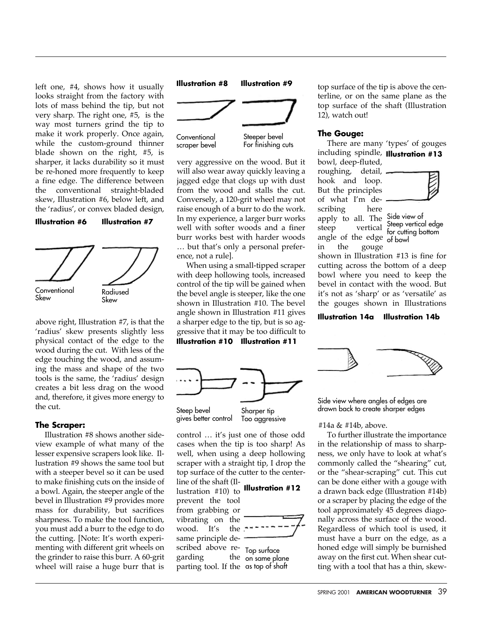left one, #4, shows how it usually looks straight from the factory with lots of mass behind the tip, but not very sharp. The right one, #5, is the way most turners grind the tip to make it work properly. Once again, while the custom-ground thinner blade shown on the right, #5, is sharper, it lacks durability so it must be re-honed more frequently to keep a fine edge. The difference between the conventional straight-bladed skew, Illustration #6, below left, and the 'radius', or convex bladed design,

#### **Illustration #6 Illustration #7**



above right, Illustration #7, is that the 'radius' skew presents slightly less physical contact of the edge to the wood during the cut. With less of the edge touching the wood, and assuming the mass and shape of the two tools is the same, the 'radius' design creates a bit less drag on the wood and, therefore, it gives more energy to the cut.

#### **The Scraper:**

Illustration #8 shows another sideview example of what many of the lesser expensive scrapers look like. Illustration #9 shows the same tool but with a steeper bevel so it can be used to make finishing cuts on the inside of a bowl. Again, the steeper angle of the bevel in Illustration #9 provides more mass for durability, but sacrifices sharpness. To make the tool function, you must add a burr to the edge to do the cutting. [Note: It's worth experimenting with different grit wheels on the grinder to raise this burr. A 60-grit wheel will raise a huge burr that is



very aggressive on the wood. But it will also wear away quickly leaving a jagged edge that clogs up with dust from the wood and stalls the cut. Conversely, a 120-grit wheel may not raise enough of a burr to do the work. In my experience, a larger burr works well with softer woods and a finer burr works best with harder woods … but that's only a personal preference, not a rule].

When using a small-tipped scraper with deep hollowing tools, increased control of the tip will be gained when the bevel angle is steeper, like the one shown in Illustration #10. The bevel angle shown in Illustration #11 gives a sharper edge to the tip, but is so aggressive that it may be too difficult to

**Illustration #10 Illustration #11**



Steep bevel gives better control Sharper tip Too aggressive

control … it's just one of those odd cases when the tip is too sharp! As well, when using a deep hollowing scraper with a straight tip, I drop the top surface of the cutter to the centerline of the shaft (Il-

### lustration #10) to **Illustration #12**

prevent the tool from grabbing or vibrating on the wood. It's the <sup>-</sup> same principle described above regarding



parting tool. If the as top of shaft Top surface the on same plane top surface of the tip is above the centerline, or on the same plane as the top surface of the shaft (Illustration 12), watch out!

#### **The Gouge:**

There are many 'types' of gouges including spindle, **Illustration #13**

bowl, deep-fluted, roughing, detail, hook and loop. But the principles of what I'm describing here apply to all. The Side view of steep vertical Steep vertical edge



angle of the edge of bowl for cutting bottom

in the gouge shown in Illustration #13 is fine for cutting across the bottom of a deep bowl where you need to keep the bevel in contact with the wood. But it's not as 'sharp' or as 'versatile' as the gouges shown in Illustrations

#### **Illustration 14a Illustration 14b**



Side view where angles of edges are drawn back to create sharper edges

#### #14a & #14b, above.

To further illustrate the importance in the relationship of mass to sharpness, we only have to look at what's commonly called the "shearing" cut, or the "shear-scraping" cut. This cut can be done either with a gouge with a drawn back edge (Illustration #14b) or a scraper by placing the edge of the tool approximately 45 degrees diagonally across the surface of the wood. Regardless of which tool is used, it must have a burr on the edge, as a honed edge will simply be burnished away on the first cut. When shear cutting with a tool that has a thin, skew-